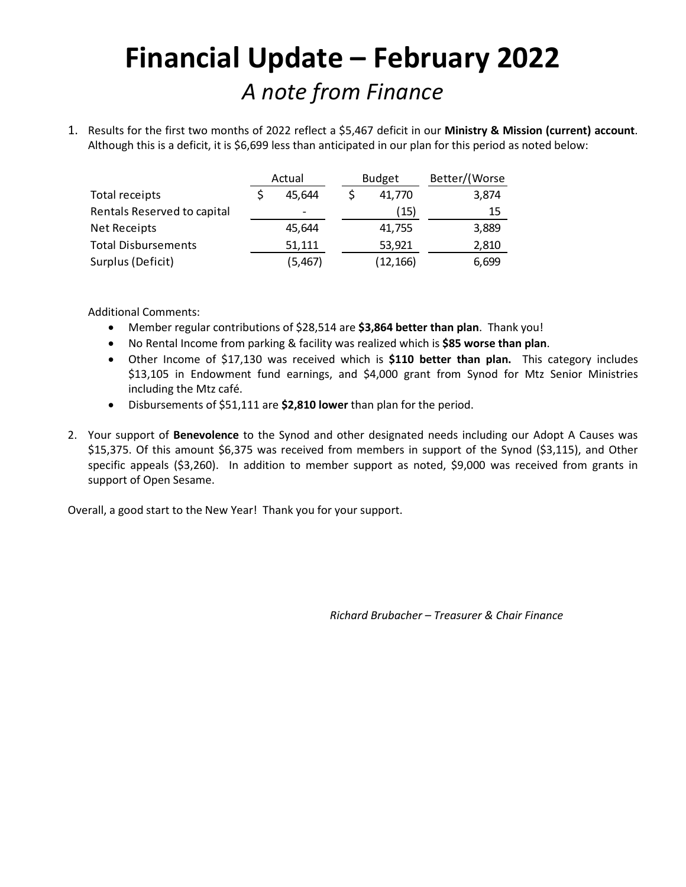## **Financial Update – February 2022** *A note from Finance*

1. Results for the first two months of 2022 reflect a \$5,467 deficit in our **Ministry & Mission (current) account**. Although this is a deficit, it is \$6,699 less than anticipated in our plan for this period as noted below:

|                             | Actual |          | <b>Budget</b> | Better/(Worse |
|-----------------------------|--------|----------|---------------|---------------|
| Total receipts              |        | 45,644   | 41,770        | 3,874         |
| Rentals Reserved to capital |        | -        | (15)          | 15            |
| <b>Net Receipts</b>         |        | 45.644   | 41,755        | 3,889         |
| <b>Total Disbursements</b>  |        | 51,111   | 53,921        | 2,810         |
| Surplus (Deficit)           |        | (5, 467) | (12, 166)     | 6,699         |

Additional Comments:

- Member regular contributions of \$28,514 are **\$3,864 better than plan**. Thank you!
- No Rental Income from parking & facility was realized which is **\$85 worse than plan**.
- Other Income of \$17,130 was received which is **\$110 better than plan.** This category includes \$13,105 in Endowment fund earnings, and \$4,000 grant from Synod for Mtz Senior Ministries including the Mtz café.
- Disbursements of \$51,111 are **\$2,810 lower** than plan for the period.
- 2. Your support of **Benevolence** to the Synod and other designated needs including our Adopt A Causes was \$15,375. Of this amount \$6,375 was received from members in support of the Synod (\$3,115), and Other specific appeals (\$3,260). In addition to member support as noted, \$9,000 was received from grants in support of Open Sesame.

Overall, a good start to the New Year! Thank you for your support.

*Richard Brubacher – Treasurer & Chair Finance*